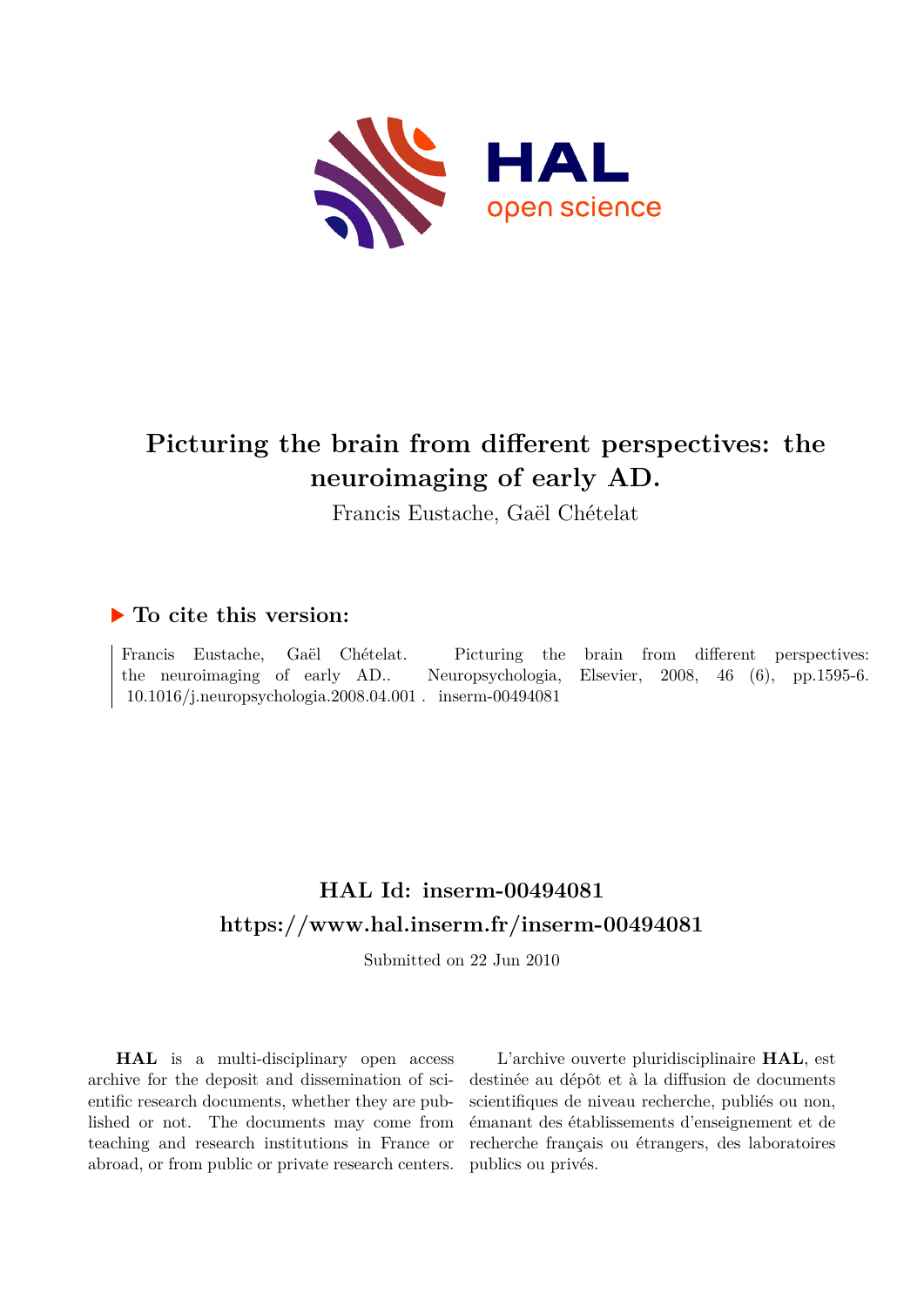

## **Picturing the brain from different perspectives: the neuroimaging of early AD.**

Francis Eustache, Gaël Chételat

## **To cite this version:**

Francis Eustache, Gaël Chételat. Picturing the brain from different perspectives: the neuroimaging of early AD.. Neuropsychologia, Elsevier, 2008, 46 (6), pp.1595-6. 10.1016/j.neuropsychologia.2008.04.001 . inserm-00494081

## **HAL Id: inserm-00494081 <https://www.hal.inserm.fr/inserm-00494081>**

Submitted on 22 Jun 2010

**HAL** is a multi-disciplinary open access archive for the deposit and dissemination of scientific research documents, whether they are published or not. The documents may come from teaching and research institutions in France or abroad, or from public or private research centers.

L'archive ouverte pluridisciplinaire **HAL**, est destinée au dépôt et à la diffusion de documents scientifiques de niveau recherche, publiés ou non, émanant des établissements d'enseignement et de recherche français ou étrangers, des laboratoires publics ou privés.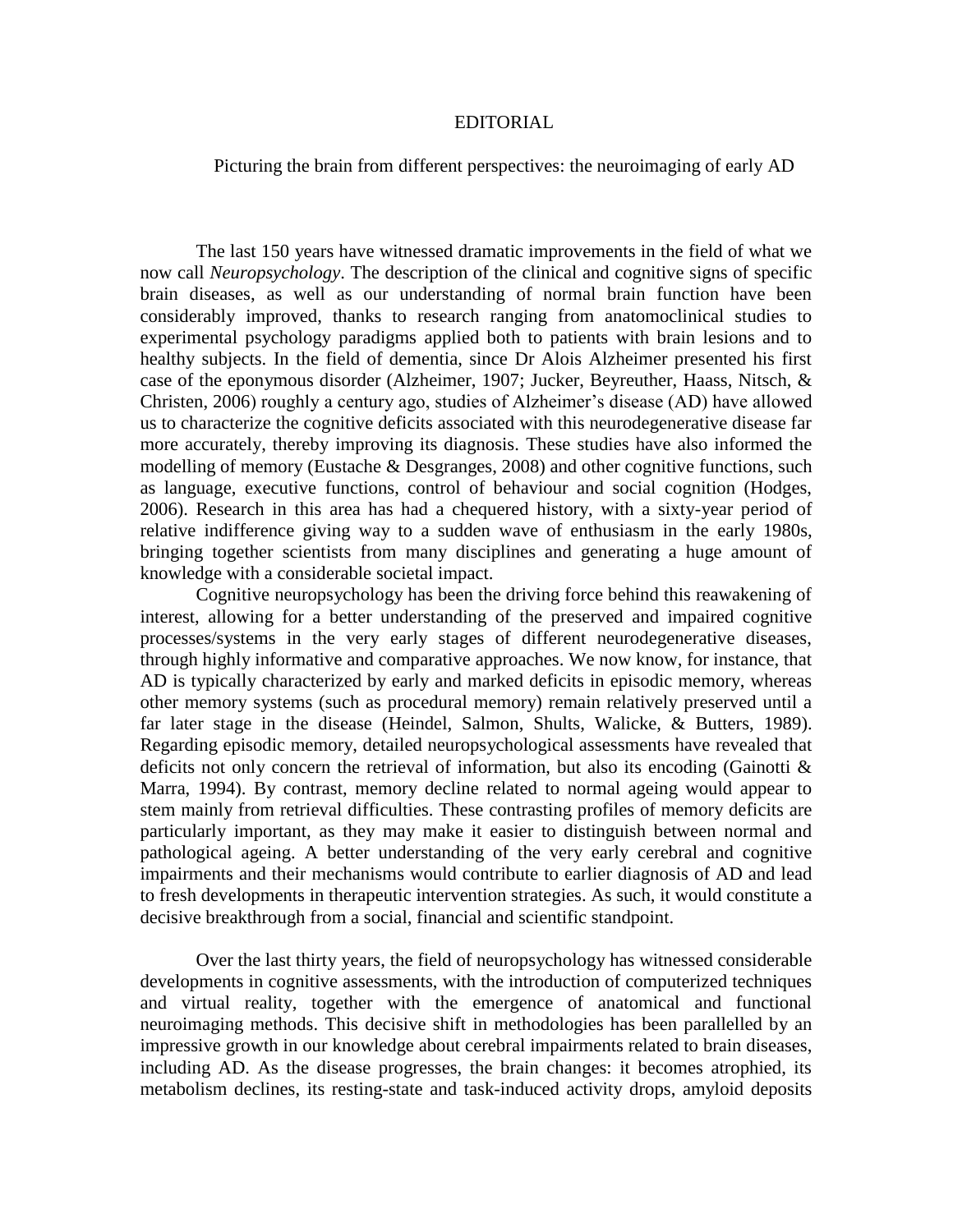## EDITORIAL

Picturing the brain from different perspectives: the neuroimaging of early AD

The last 150 years have witnessed dramatic improvements in the field of what we now call *Neuropsychology*. The description of the clinical and cognitive signs of specific brain diseases, as well as our understanding of normal brain function have been considerably improved, thanks to research ranging from anatomoclinical studies to experimental psychology paradigms applied both to patients with brain lesions and to healthy subjects. In the field of dementia, since Dr Alois Alzheimer presented his first case of the eponymous disorder (Alzheimer, 1907; Jucker, Beyreuther, Haass, Nitsch, & Christen, 2006) roughly a century ago, studies of Alzheimer's disease (AD) have allowed us to characterize the cognitive deficits associated with this neurodegenerative disease far more accurately, thereby improving its diagnosis. These studies have also informed the modelling of memory (Eustache & Desgranges, 2008) and other cognitive functions, such as language, executive functions, control of behaviour and social cognition (Hodges, 2006). Research in this area has had a chequered history, with a sixty-year period of relative indifference giving way to a sudden wave of enthusiasm in the early 1980s, bringing together scientists from many disciplines and generating a huge amount of knowledge with a considerable societal impact.

Cognitive neuropsychology has been the driving force behind this reawakening of interest, allowing for a better understanding of the preserved and impaired cognitive processes/systems in the very early stages of different neurodegenerative diseases, through highly informative and comparative approaches. We now know, for instance, that AD is typically characterized by early and marked deficits in episodic memory, whereas other memory systems (such as procedural memory) remain relatively preserved until a far later stage in the disease (Heindel, Salmon, Shults, Walicke, & Butters, 1989). Regarding episodic memory, detailed neuropsychological assessments have revealed that deficits not only concern the retrieval of information, but also its encoding (Gainotti & Marra, 1994). By contrast, memory decline related to normal ageing would appear to stem mainly from retrieval difficulties. These contrasting profiles of memory deficits are particularly important, as they may make it easier to distinguish between normal and pathological ageing. A better understanding of the very early cerebral and cognitive impairments and their mechanisms would contribute to earlier diagnosis of AD and lead to fresh developments in therapeutic intervention strategies. As such, it would constitute a decisive breakthrough from a social, financial and scientific standpoint.

Over the last thirty years, the field of neuropsychology has witnessed considerable developments in cognitive assessments, with the introduction of computerized techniques and virtual reality, together with the emergence of anatomical and functional neuroimaging methods. This decisive shift in methodologies has been parallelled by an impressive growth in our knowledge about cerebral impairments related to brain diseases, including AD. As the disease progresses, the brain changes: it becomes atrophied, its metabolism declines, its resting-state and task-induced activity drops, amyloid deposits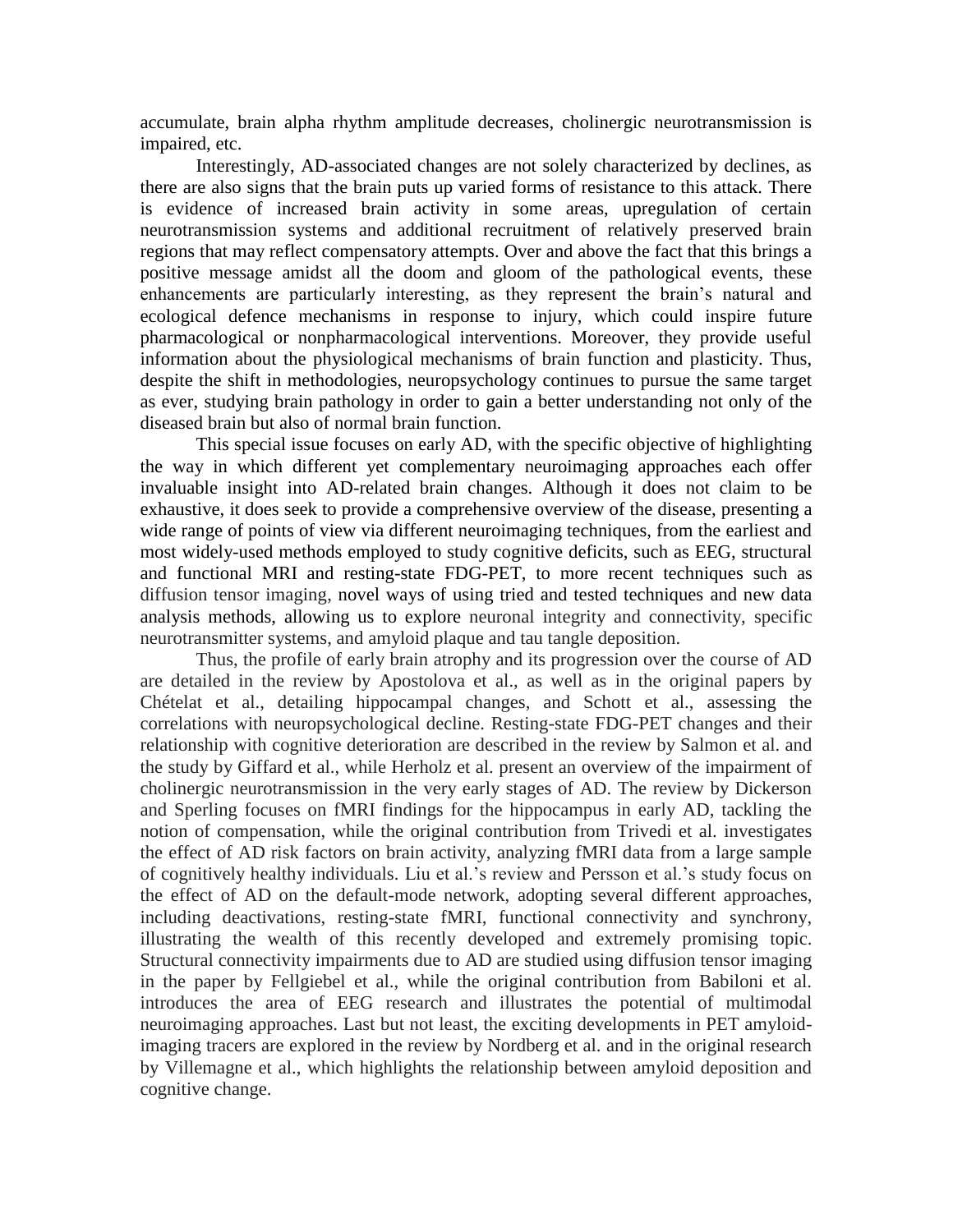accumulate, brain alpha rhythm amplitude decreases, cholinergic neurotransmission is impaired, etc.

Interestingly, AD-associated changes are not solely characterized by declines, as there are also signs that the brain puts up varied forms of resistance to this attack. There is evidence of increased brain activity in some areas, upregulation of certain neurotransmission systems and additional recruitment of relatively preserved brain regions that may reflect compensatory attempts. Over and above the fact that this brings a positive message amidst all the doom and gloom of the pathological events, these enhancements are particularly interesting, as they represent the brain's natural and ecological defence mechanisms in response to injury, which could inspire future pharmacological or nonpharmacological interventions. Moreover, they provide useful information about the physiological mechanisms of brain function and plasticity. Thus, despite the shift in methodologies, neuropsychology continues to pursue the same target as ever, studying brain pathology in order to gain a better understanding not only of the diseased brain but also of normal brain function.

This special issue focuses on early AD, with the specific objective of highlighting the way in which different yet complementary neuroimaging approaches each offer invaluable insight into AD-related brain changes. Although it does not claim to be exhaustive, it does seek to provide a comprehensive overview of the disease, presenting a wide range of points of view via different neuroimaging techniques, from the earliest and most widely-used methods employed to study cognitive deficits, such as EEG, structural and functional MRI and resting-state FDG-PET, to more recent techniques such as diffusion tensor imaging, novel ways of using tried and tested techniques and new data analysis methods, allowing us to explore neuronal integrity and connectivity, specific neurotransmitter systems, and amyloid plaque and tau tangle deposition.

Thus, the profile of early brain atrophy and its progression over the course of AD are detailed in the review by Apostolova et al., as well as in the original papers by Chételat et al., detailing hippocampal changes, and Schott et al., assessing the correlations with neuropsychological decline. Resting-state FDG-PET changes and their relationship with cognitive deterioration are described in the review by Salmon et al. and the study by Giffard et al., while Herholz et al. present an overview of the impairment of cholinergic neurotransmission in the very early stages of AD. The review by Dickerson and Sperling focuses on fMRI findings for the hippocampus in early AD, tackling the notion of compensation, while the original contribution from Trivedi et al. investigates the effect of AD risk factors on brain activity, analyzing fMRI data from a large sample of cognitively healthy individuals. Liu et al.'s review and Persson et al.'s study focus on the effect of AD on the default-mode network, adopting several different approaches, including deactivations, resting-state fMRI, functional connectivity and synchrony, illustrating the wealth of this recently developed and extremely promising topic. Structural connectivity impairments due to AD are studied using diffusion tensor imaging in the paper by Fellgiebel et al., while the original contribution from Babiloni et al. introduces the area of EEG research and illustrates the potential of multimodal neuroimaging approaches. Last but not least, the exciting developments in PET amyloidimaging tracers are explored in the review by Nordberg et al. and in the original research by Villemagne et al., which highlights the relationship between amyloid deposition and cognitive change.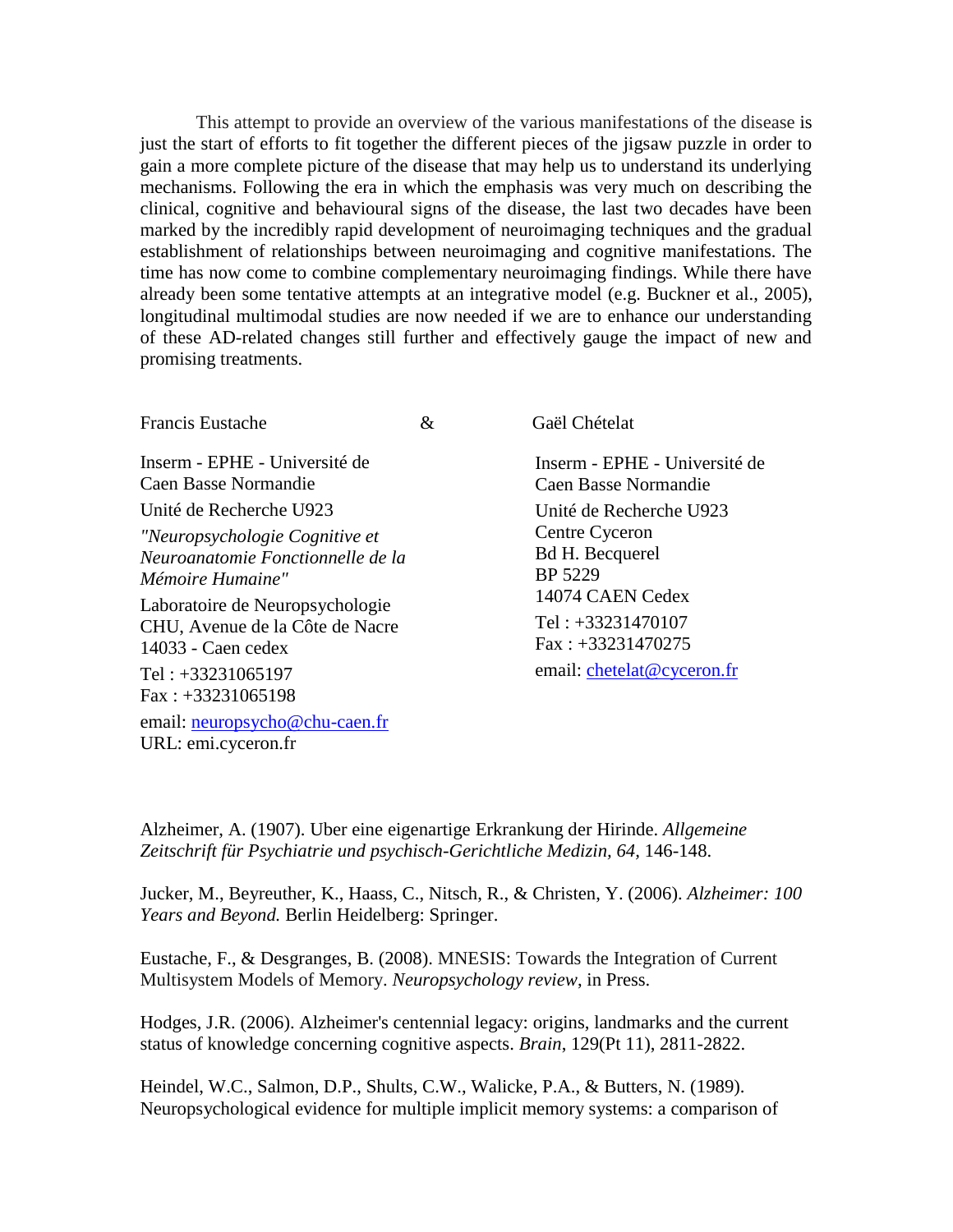This attempt to provide an overview of the various manifestations of the disease is just the start of efforts to fit together the different pieces of the jigsaw puzzle in order to gain a more complete picture of the disease that may help us to understand its underlying mechanisms. Following the era in which the emphasis was very much on describing the clinical, cognitive and behavioural signs of the disease, the last two decades have been marked by the incredibly rapid development of neuroimaging techniques and the gradual establishment of relationships between neuroimaging and cognitive manifestations. The time has now come to combine complementary neuroimaging findings. While there have already been some tentative attempts at an integrative model (e.g. Buckner et al., 2005), longitudinal multimodal studies are now needed if we are to enhance our understanding of these AD-related changes still further and effectively gauge the impact of new and promising treatments.

Francis Eustache & Gaël Chételat

Inserm - EPHE - Université de Caen Basse Normandie

Unité de Recherche U923 *"Neuropsychologie Cognitive et* 

*Neuroanatomie Fonctionnelle de la Mémoire Humaine"*

Laboratoire de Neuropsychologie CHU, Avenue de la Côte de Nacre 14033 - Caen cedex Tel : +33231065197

Fax : +33231065198 email: [neuropsycho@chu-caen.fr](mailto:neuropsycho@chu-caen.fr) URL: emi.cyceron.fr

Inserm - EPHE - Université de Caen Basse Normandie Unité de Recherche U923 Centre Cyceron Bd H. Becquerel BP 5229 14074 CAEN Cedex Tel : +33231470107 Fax : +33231470275 email: [chetelat@cyceron.fr](mailto:chetelat@cyceron.fr)

Alzheimer, A. (1907). Uber eine eigenartige Erkrankung der Hirinde. *Allgemeine Zeitschrift für Psychiatrie und psychisch-Gerichtliche Medizin, 64,* 146-148.

Jucker, M., Beyreuther, K., Haass, C., Nitsch, R., & Christen, Y. (2006). *Alzheimer: 100 Years and Beyond.* Berlin Heidelberg: Springer.

Eustache, F., & Desgranges, B. (2008). MNESIS: Towards the Integration of Current Multisystem Models of Memory. *Neuropsychology review*, in Press.

Hodges, J.R. (2006). Alzheimer's centennial legacy: origins, landmarks and the current status of knowledge concerning cognitive aspects. *Brain*, 129(Pt 11), 2811-2822.

Heindel, W.C., Salmon, D.P., Shults, C.W., Walicke, P.A., & Butters, N. (1989). Neuropsychological evidence for multiple implicit memory systems: a comparison of